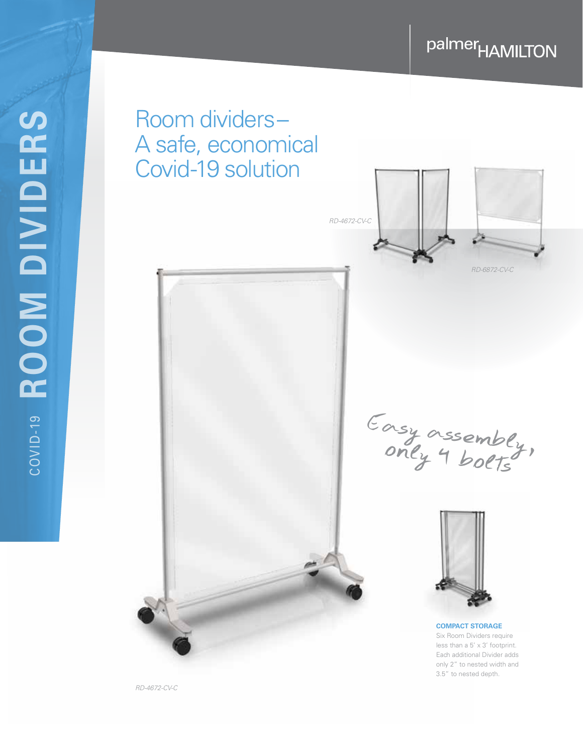# palmer<sub>HAMILTON</sub>



*RD-4672-CV-C*